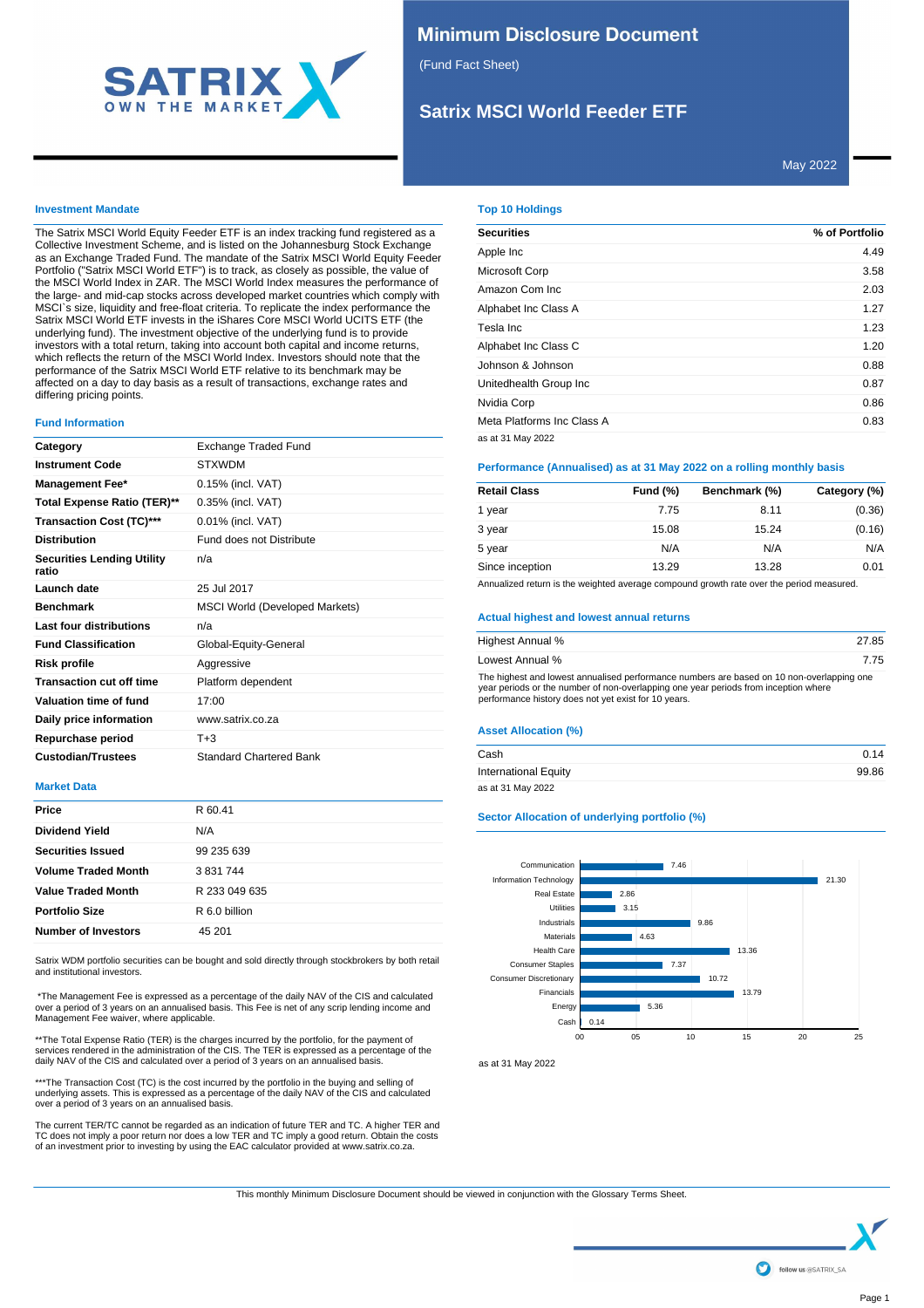

# **Minimum Disclosure Document**

(Fund Fact Sheet)

# **Satrix MSCI World Feeder ETF**

May 2022

### **Investment Mandate**

The Satrix MSCI World Equity Feeder ETF is an index tracking fund registered as a Collective Investment Scheme, and is listed on the Johannesburg Stock Exchange as an Exchange Traded Fund. The mandate of the Satrix MSCI World Equity Feeder Portfolio ("Satrix MSCI World ETF") is to track, as closely as possible, the value of the MSCI World Index in ZAR. The MSCI World Index measures the performance of the large- and mid-cap stocks across developed market countries which comply with MSCI`s size, liquidity and free-float criteria. To replicate the index performance the Satrix MSCI World ETF invests in the iShares Core MSCI World UCITS ETF (the underlying fund). The investment objective of the underlying fund is to provide investors with a total return, taking into account both capital and income returns, which reflects the return of the MSCI World Index. Investors should note that the performance of the Satrix MSCI World ETF relative to its benchmark may be affected on a day to day basis as a result of transactions, exchange rates and differing pricing points.

#### **Fund Information**

| Category                                   | Exchange Traded Fund                  |
|--------------------------------------------|---------------------------------------|
| <b>Instrument Code</b>                     | <b>STXWDM</b>                         |
| <b>Management Fee*</b>                     | 0.15% (incl. VAT)                     |
| Total Expense Ratio (TER)**                | 0.35% (incl. VAT)                     |
| Transaction Cost (TC)***                   | 0.01% (incl. VAT)                     |
| <b>Distribution</b>                        | Fund does not Distribute              |
| <b>Securities Lending Utility</b><br>ratio | n/a                                   |
| Launch date                                | 25 Jul 2017                           |
| <b>Benchmark</b>                           | <b>MSCI World (Developed Markets)</b> |
| Last four distributions                    | n/a                                   |
| <b>Fund Classification</b>                 | Global-Equity-General                 |
| <b>Risk profile</b>                        | Aggressive                            |
| <b>Transaction cut off time</b>            | Platform dependent                    |
| Valuation time of fund                     | 17:00                                 |
| Daily price information                    | www.satrix.co.za                      |
| Repurchase period                          | $T + 3$                               |
| <b>Custodian/Trustees</b>                  | <b>Standard Chartered Bank</b>        |

## **Market Data**

| Price                      | R 60.41       |
|----------------------------|---------------|
| <b>Dividend Yield</b>      | N/A           |
| <b>Securities Issued</b>   | 99 235 639    |
| <b>Volume Traded Month</b> | 3 831 744     |
| <b>Value Traded Month</b>  | R 233 049 635 |
| <b>Portfolio Size</b>      | R 6.0 billion |
| <b>Number of Investors</b> | 45 201        |
|                            |               |

Satrix WDM portfolio securities can be bought and sold directly through stockbrokers by both retail and institutional investors.

 \*The Management Fee is expressed as a percentage of the daily NAV of the CIS and calculated over a period of 3 years on an annualised basis. This Fee is net of any scrip lending income and Management Fee waiver, where applicable.

\*\*The Total Expense Ratio (TER) is the charges incurred by the portfolio, for the payment of services rendered in the administration of the CIS. The TER is expressed as a percentage of the daily NAV of the CIS and calculated over a period of 3 years on an annualised basis.

\*\*\*The Transaction Cost (TC) is the cost incurred by the portfolio in the buying and selling of underlying assets. This is expressed as a percentage of the daily NAV of the CIS and calculated over a period of 3 years on an annualised basis.

The current TER/TC cannot be regarded as an indication of future TER and TC. A higher TER and TC does not imply a poor return nor does a low TER and TC imply a good return. Obtain the costs of an investment prior to investing by using the EAC calculator provided at www.satrix.co.za.

## **Top 10 Holdings**

| <b>Securities</b>          | % of Portfolio |
|----------------------------|----------------|
| Apple Inc                  | 4.49           |
| Microsoft Corp             | 3.58           |
| Amazon Com Inc.            | 2.03           |
| Alphabet Inc Class A       | 1.27           |
| Tesla Inc                  | 1.23           |
| Alphabet Inc Class C       | 1.20           |
| Johnson & Johnson          | 0.88           |
| Unitedhealth Group Inc     | 0.87           |
| Nvidia Corp                | 0.86           |
| Meta Platforms Inc Class A | 0.83           |
| as at 31 May 2022          |                |

### **Performance (Annualised) as at 31 May 2022 on a rolling monthly basis**

| <b>Retail Class</b> | <b>Fund (%)</b> | Benchmark (%) | Category (%) |
|---------------------|-----------------|---------------|--------------|
| 1 year              | 7.75            | 8.11          | (0.36)       |
| 3 year              | 15.08           | 15.24         | (0.16)       |
| 5 year              | N/A             | N/A           | N/A          |
| Since inception     | 13.29           | 13.28         | 0.01         |

Annualized return is the weighted average compound growth rate over the period measured.

### **Actual highest and lowest annual returns**

| Highest Annual %                                                                                                                                                                                                                         | 27.85 |
|------------------------------------------------------------------------------------------------------------------------------------------------------------------------------------------------------------------------------------------|-------|
| Lowest Annual %                                                                                                                                                                                                                          | 775   |
| The highest and lowest annualised performance numbers are based on 10 non-overlapping one<br>year periods or the number of non-overlapping one year periods from inception where<br>performance history does not yet exist for 10 years. |       |

## **Asset Allocation (%)**

| Cash                        | 0.14  |
|-----------------------------|-------|
| <b>International Equity</b> | 99.86 |
| as at 31 May 2022           |       |

### **Sector Allocation of underlying portfolio (%)**



as at 31 May 2022

This monthly Minimum Disclosure Document should be viewed in conjunction with the Glossary Terms Sheet.